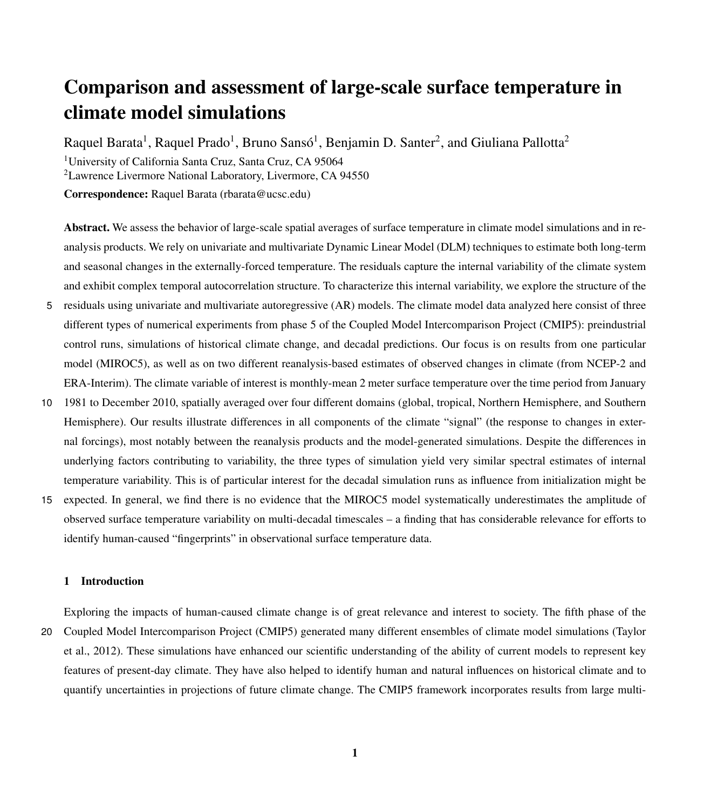# Comparison and assessment of large-scale surface temperature in climate model simulations

Raquel Barata<sup>1</sup>, Raquel Prado<sup>1</sup>, Bruno Sansó<sup>1</sup>, Benjamin D. Santer<sup>2</sup>, and Giuliana Pallotta<sup>2</sup> <sup>1</sup>University of California Santa Cruz, Santa Cruz, CA 95064 <sup>2</sup>Lawrence Livermore National Laboratory, Livermore, CA 94550 Correspondence: Raquel Barata (rbarata@ucsc.edu)

Abstract. We assess the behavior of large-scale spatial averages of surface temperature in climate model simulations and in reanalysis products. We rely on univariate and multivariate Dynamic Linear Model (DLM) techniques to estimate both long-term and seasonal changes in the externally-forced temperature. The residuals capture the internal variability of the climate system and exhibit complex temporal autocorrelation structure. To characterize this internal variability, we explore the structure of the

- 5 residuals using univariate and multivariate autoregressive (AR) models. The climate model data analyzed here consist of three different types of numerical experiments from phase 5 of the Coupled Model Intercomparison Project (CMIP5): preindustrial control runs, simulations of historical climate change, and decadal predictions. Our focus is on results from one particular model (MIROC5), as well as on two different reanalysis-based estimates of observed changes in climate (from NCEP-2 and ERA-Interim). The climate variable of interest is monthly-mean 2 meter surface temperature over the time period from January
- 10 1981 to December 2010, spatially averaged over four different domains (global, tropical, Northern Hemisphere, and Southern Hemisphere). Our results illustrate differences in all components of the climate "signal" (the response to changes in external forcings), most notably between the reanalysis products and the model-generated simulations. Despite the differences in underlying factors contributing to variability, the three types of simulation yield very similar spectral estimates of internal temperature variability. This is of particular interest for the decadal simulation runs as influence from initialization might be
- 15 expected. In general, we find there is no evidence that the MIROC5 model systematically underestimates the amplitude of observed surface temperature variability on multi-decadal timescales – a finding that has considerable relevance for efforts to identify human-caused "fingerprints" in observational surface temperature data.

### 1 Introduction

Exploring the impacts of human-caused climate change is of great relevance and interest to society. The fifth phase of the 20 Coupled Model Intercomparison Project (CMIP5) generated many different ensembles of climate model simulations (Taylor et al., 2012). These simulations have enhanced our scientific understanding of the ability of current models to represent key features of present-day climate. They have also helped to identify human and natural influences on historical climate and to quantify uncertainties in projections of future climate change. The CMIP5 framework incorporates results from large multi-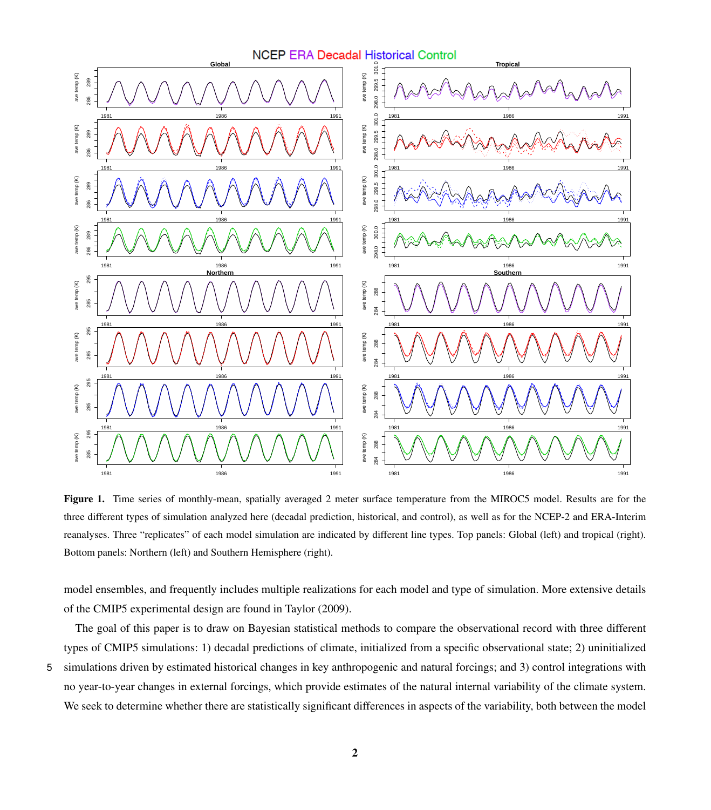<span id="page-1-0"></span>

Figure 1. Time series of monthly-mean, spatially averaged 2 meter surface temperature from the MIROC5 model. Results are for the three different types of simulation analyzed here (decadal prediction, historical, and control), as well as for the NCEP-2 and ERA-Interim reanalyses. Three "replicates" of each model simulation are indicated by different line types. Top panels: Global (left) and tropical (right). Bottom panels: Northern (left) and Southern Hemisphere (right).

model ensembles, and frequently includes multiple realizations for each model and type of simulation. More extensive details of the CMIP5 experimental design are found in [Taylor](#page-20-0) [\(2009\)](#page-20-0).

The goal of this paper is to draw on Bayesian statistical methods to compare the observational record with three different types of CMIP5 simulations: 1) decadal predictions of climate, initialized from a specific observational state; 2) uninitialized

5 simulations driven by estimated historical changes in key anthropogenic and natural forcings; and 3) control integrations with no year-to-year changes in external forcings, which provide estimates of the natural internal variability of the climate system. We seek to determine whether there are statistically significant differences in aspects of the variability, both between the model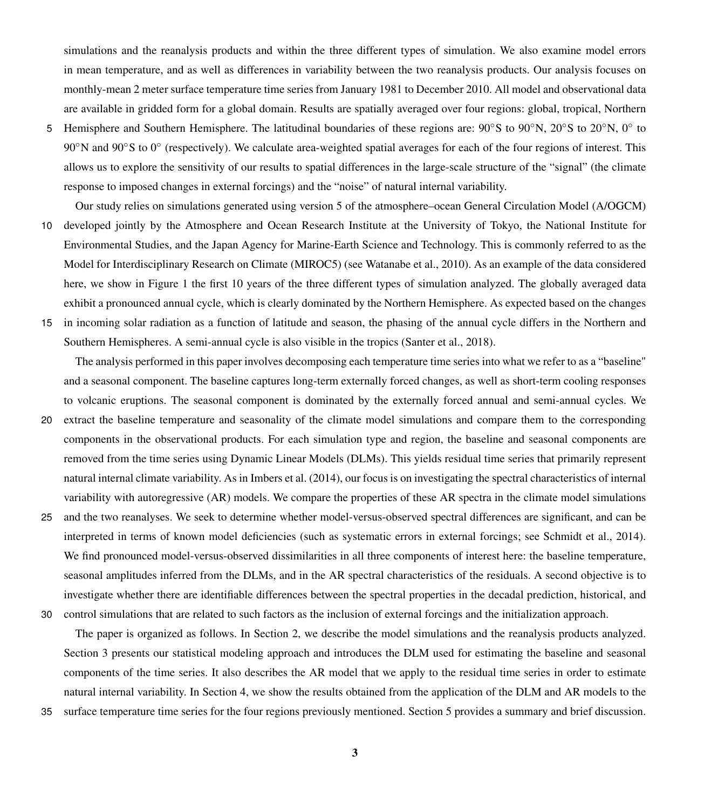simulations and the reanalysis products and within the three different types of simulation. We also examine model errors in mean temperature, and as well as differences in variability between the two reanalysis products. Our analysis focuses on monthly-mean 2 meter surface temperature time series from January 1981 to December 2010. All model and observational data are available in gridded form for a global domain. Results are spatially averaged over four regions: global, tropical, Northern

5 Hemisphere and Southern Hemisphere. The latitudinal boundaries of these regions are: 90°S to 90°N, 20°S to 20°N, 0° to 90°N and 90°S to 0° (respectively). We calculate area-weighted spatial averages for each of the four regions of interest. This allows us to explore the sensitivity of our results to spatial differences in the large-scale structure of the "signal" (the climate response to imposed changes in external forcings) and the "noise" of natural internal variability.

Our study relies on simulations generated using version 5 of the atmosphere–ocean General Circulation Model (A/OGCM)

- 10 developed jointly by the Atmosphere and Ocean Research Institute at the University of Tokyo, the National Institute for Environmental Studies, and the Japan Agency for Marine-Earth Science and Technology. This is commonly referred to as the Model for Interdisciplinary Research on Climate (MIROC5) (see [Watanabe et al., 2010\)](#page-20-1). As an example of the data considered here, we show in Figure [1](#page-1-0) the first 10 years of the three different types of simulation analyzed. The globally averaged data exhibit a pronounced annual cycle, which is clearly dominated by the Northern Hemisphere. As expected based on the changes
- 15 in incoming solar radiation as a function of latitude and season, the phasing of the annual cycle differs in the Northern and Southern Hemispheres. A semi-annual cycle is also visible in the tropics [\(Santer et al., 2018\)](#page-20-2).

The analysis performed in this paper involves decomposing each temperature time series into what we refer to as a "baseline" and a seasonal component. The baseline captures long-term externally forced changes, as well as short-term cooling responses to volcanic eruptions. The seasonal component is dominated by the externally forced annual and semi-annual cycles. We 20 extract the baseline temperature and seasonality of the climate model simulations and compare them to the corresponding components in the observational products. For each simulation type and region, the baseline and seasonal components are removed from the time series using Dynamic Linear Models (DLMs). This yields residual time series that primarily represent natural internal climate variability. As in [Imbers et al.](#page-19-0) [\(2014\)](#page-19-0), our focus is on investigating the spectral characteristics of internal variability with autoregressive (AR) models. We compare the properties of these AR spectra in the climate model simulations

25 and the two reanalyses. We seek to determine whether model-versus-observed spectral differences are significant, and can be interpreted in terms of known model deficiencies (such as systematic errors in external forcings; see [Schmidt et al., 2014\)](#page-20-3). We find pronounced model-versus-observed dissimilarities in all three components of interest here: the baseline temperature, seasonal amplitudes inferred from the DLMs, and in the AR spectral characteristics of the residuals. A second objective is to investigate whether there are identifiable differences between the spectral properties in the decadal prediction, historical, and 30 control simulations that are related to such factors as the inclusion of external forcings and the initialization approach.

The paper is organized as follows. In Section 2, we describe the model simulations and the reanalysis products analyzed. Section 3 presents our statistical modeling approach and introduces the DLM used for estimating the baseline and seasonal components of the time series. It also describes the AR model that we apply to the residual time series in order to estimate natural internal variability. In Section 4, we show the results obtained from the application of the DLM and AR models to the

35 surface temperature time series for the four regions previously mentioned. Section 5 provides a summary and brief discussion.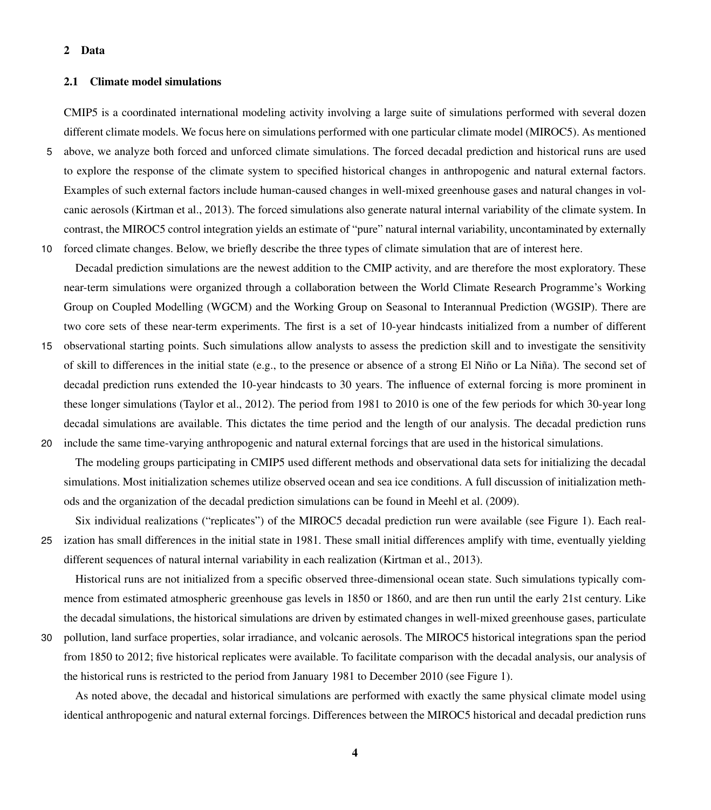#### 2 Data

#### 2.1 Climate model simulations

CMIP5 is a coordinated international modeling activity involving a large suite of simulations performed with several dozen different climate models. We focus here on simulations performed with one particular climate model (MIROC5). As mentioned

5 above, we analyze both forced and unforced climate simulations. The forced decadal prediction and historical runs are used to explore the response of the climate system to specified historical changes in anthropogenic and natural external factors. Examples of such external factors include human-caused changes in well-mixed greenhouse gases and natural changes in volcanic aerosols [\(Kirtman et al., 2013\)](#page-19-1). The forced simulations also generate natural internal variability of the climate system. In contrast, the MIROC5 control integration yields an estimate of "pure" natural internal variability, uncontaminated by externally 10 forced climate changes. Below, we briefly describe the three types of climate simulation that are of interest here.

Decadal prediction simulations are the newest addition to the CMIP activity, and are therefore the most exploratory. These near-term simulations were organized through a collaboration between the World Climate Research Programme's Working Group on Coupled Modelling (WGCM) and the Working Group on Seasonal to Interannual Prediction (WGSIP). There are two core sets of these near-term experiments. The first is a set of 10-year hindcasts initialized from a number of different

15 observational starting points. Such simulations allow analysts to assess the prediction skill and to investigate the sensitivity of skill to differences in the initial state (e.g., to the presence or absence of a strong El Niño or La Niña). The second set of decadal prediction runs extended the 10-year hindcasts to 30 years. The influence of external forcing is more prominent in these longer simulations [\(Taylor et al., 2012\)](#page-20-4). The period from 1981 to 2010 is one of the few periods for which 30-year long decadal simulations are available. This dictates the time period and the length of our analysis. The decadal prediction runs 20 include the same time-varying anthropogenic and natural external forcings that are used in the historical simulations.

The modeling groups participating in CMIP5 used different methods and observational data sets for initializing the decadal simulations. Most initialization schemes utilize observed ocean and sea ice conditions. A full discussion of initialization methods and the organization of the decadal prediction simulations can be found in [Meehl et al.](#page-19-2) [\(2009\)](#page-19-2).

Six individual realizations ("replicates") of the MIROC5 decadal prediction run were available (see Figure [1\)](#page-1-0). Each real-25 ization has small differences in the initial state in 1981. These small initial differences amplify with time, eventually yielding different sequences of natural internal variability in each realization [\(Kirtman et al., 2013\)](#page-19-1).

Historical runs are not initialized from a specific observed three-dimensional ocean state. Such simulations typically commence from estimated atmospheric greenhouse gas levels in 1850 or 1860, and are then run until the early 21st century. Like the decadal simulations, the historical simulations are driven by estimated changes in well-mixed greenhouse gases, particulate

30 pollution, land surface properties, solar irradiance, and volcanic aerosols. The MIROC5 historical integrations span the period from 1850 to 2012; five historical replicates were available. To facilitate comparison with the decadal analysis, our analysis of the historical runs is restricted to the period from January 1981 to December 2010 (see Figure [1\)](#page-1-0).

As noted above, the decadal and historical simulations are performed with exactly the same physical climate model using identical anthropogenic and natural external forcings. Differences between the MIROC5 historical and decadal prediction runs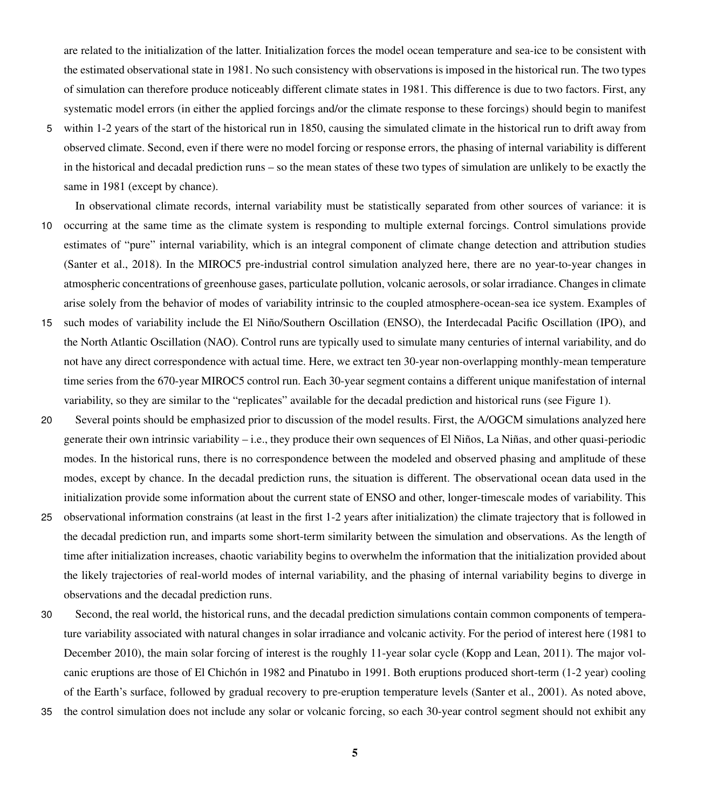are related to the initialization of the latter. Initialization forces the model ocean temperature and sea-ice to be consistent with the estimated observational state in 1981. No such consistency with observations is imposed in the historical run. The two types of simulation can therefore produce noticeably different climate states in 1981. This difference is due to two factors. First, any systematic model errors (in either the applied forcings and/or the climate response to these forcings) should begin to manifest

- 5 within 1-2 years of the start of the historical run in 1850, causing the simulated climate in the historical run to drift away from observed climate. Second, even if there were no model forcing or response errors, the phasing of internal variability is different in the historical and decadal prediction runs – so the mean states of these two types of simulation are unlikely to be exactly the same in 1981 (except by chance).
- In observational climate records, internal variability must be statistically separated from other sources of variance: it is 10 occurring at the same time as the climate system is responding to multiple external forcings. Control simulations provide estimates of "pure" internal variability, which is an integral component of climate change detection and attribution studies [\(Santer et al., 2018\)](#page-20-2). In the MIROC5 pre-industrial control simulation analyzed here, there are no year-to-year changes in atmospheric concentrations of greenhouse gases, particulate pollution, volcanic aerosols, or solar irradiance. Changes in climate arise solely from the behavior of modes of variability intrinsic to the coupled atmosphere-ocean-sea ice system. Examples of
- 15 such modes of variability include the El Niño/Southern Oscillation (ENSO), the Interdecadal Pacific Oscillation (IPO), and the North Atlantic Oscillation (NAO). Control runs are typically used to simulate many centuries of internal variability, and do not have any direct correspondence with actual time. Here, we extract ten 30-year non-overlapping monthly-mean temperature time series from the 670-year MIROC5 control run. Each 30-year segment contains a different unique manifestation of internal variability, so they are similar to the "replicates" available for the decadal prediction and historical runs (see Figure [1\)](#page-1-0).
- 20 Several points should be emphasized prior to discussion of the model results. First, the A/OGCM simulations analyzed here generate their own intrinsic variability – i.e., they produce their own sequences of El Niños, La Niñas, and other quasi-periodic modes. In the historical runs, there is no correspondence between the modeled and observed phasing and amplitude of these modes, except by chance. In the decadal prediction runs, the situation is different. The observational ocean data used in the initialization provide some information about the current state of ENSO and other, longer-timescale modes of variability. This
- 25 observational information constrains (at least in the first 1-2 years after initialization) the climate trajectory that is followed in the decadal prediction run, and imparts some short-term similarity between the simulation and observations. As the length of time after initialization increases, chaotic variability begins to overwhelm the information that the initialization provided about the likely trajectories of real-world modes of internal variability, and the phasing of internal variability begins to diverge in observations and the decadal prediction runs.
- 30 Second, the real world, the historical runs, and the decadal prediction simulations contain common components of temperature variability associated with natural changes in solar irradiance and volcanic activity. For the period of interest here (1981 to December 2010), the main solar forcing of interest is the roughly 11-year solar cycle [\(Kopp and Lean, 2011\)](#page-19-3). The major volcanic eruptions are those of El Chichón in 1982 and Pinatubo in 1991. Both eruptions produced short-term (1-2 year) cooling of the Earth's surface, followed by gradual recovery to pre-eruption temperature levels [\(Santer et al., 2001\)](#page-20-5). As noted above,
- 35 the control simulation does not include any solar or volcanic forcing, so each 30-year control segment should not exhibit any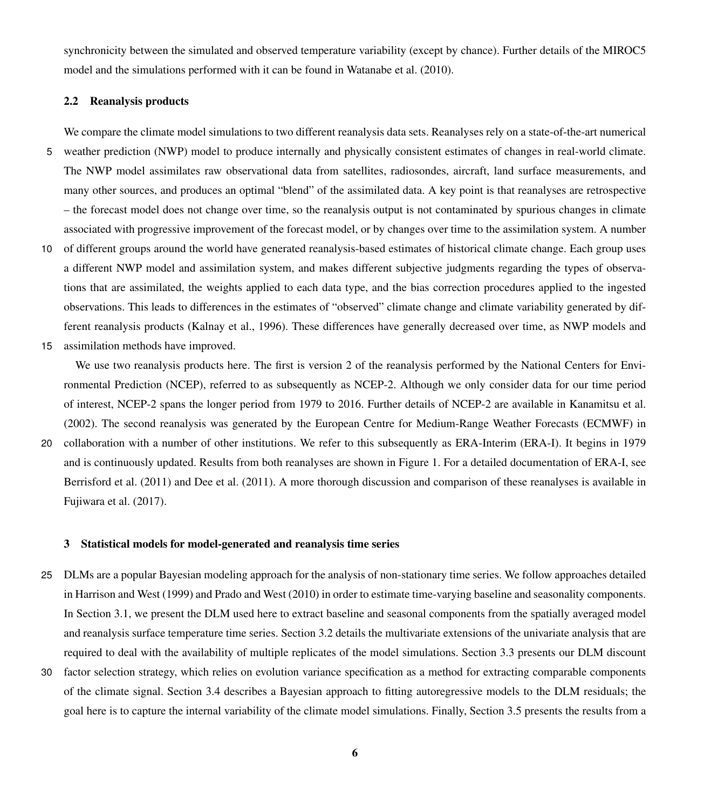synchronicity between the simulated and observed temperature variability (except by chance). Further details of the MIROC5 model and the simulations performed with it can be found in [Watanabe et al.](#page-20-1) [\(2010\)](#page-20-1).

#### 2.2 Reanalysis products

We compare the climate model simulations to two different reanalysis data sets. Reanalyses rely on a state-of-the-art numerical

- 5 weather prediction (NWP) model to produce internally and physically consistent estimates of changes in real-world climate. The NWP model assimilates raw observational data from satellites, radiosondes, aircraft, land surface measurements, and many other sources, and produces an optimal "blend" of the assimilated data. A key point is that reanalyses are retrospective – the forecast model does not change over time, so the reanalysis output is not contaminated by spurious changes in climate associated with progressive improvement of the forecast model, or by changes over time to the assimilation system. A number
- 10 of different groups around the world have generated reanalysis-based estimates of historical climate change. Each group uses a different NWP model and assimilation system, and makes different subjective judgments regarding the types of observations that are assimilated, the weights applied to each data type, and the bias correction procedures applied to the ingested observations. This leads to differences in the estimates of "observed" climate change and climate variability generated by different reanalysis products [\(Kalnay et al., 1996\)](#page-19-4). These differences have generally decreased over time, as NWP models and
- 15 assimilation methods have improved.

We use two reanalysis products here. The first is version 2 of the reanalysis performed by the National Centers for Environmental Prediction (NCEP), referred to as subsequently as NCEP-2. Although we only consider data for our time period of interest, NCEP-2 spans the longer period from 1979 to 2016. Further details of NCEP-2 are available in [Kanamitsu et al.](#page-19-5) [\(2002\)](#page-19-5). The second reanalysis was generated by the European Centre for Medium-Range Weather Forecasts (ECMWF) in

20 collaboration with a number of other institutions. We refer to this subsequently as ERA-Interim (ERA-I). It begins in 1979 and is continuously updated. Results from both reanalyses are shown in Figure [1.](#page-1-0) For a detailed documentation of ERA-I, see [Berrisford et al.](#page-19-6) [\(2011\)](#page-19-6) and [Dee et al.](#page-19-7) [\(2011\)](#page-19-7). A more thorough discussion and comparison of these reanalyses is available in [Fujiwara et al.](#page-19-8) [\(2017\)](#page-19-8).

#### 3 Statistical models for model-generated and reanalysis time series

- 25 DLMs are a popular Bayesian modeling approach for the analysis of non-stationary time series. We follow approaches detailed in [Harrison and West](#page-19-9) [\(1999\)](#page-19-9) and [Prado and West](#page-20-6) [\(2010\)](#page-20-6) in order to estimate time-varying baseline and seasonality components. In Section 3.1, we present the DLM used here to extract baseline and seasonal components from the spatially averaged model and reanalysis surface temperature time series. Section 3.2 details the multivariate extensions of the univariate analysis that are required to deal with the availability of multiple replicates of the model simulations. Section 3.3 presents our DLM discount
- 30 factor selection strategy, which relies on evolution variance specification as a method for extracting comparable components of the climate signal. Section 3.4 describes a Bayesian approach to fitting autoregressive models to the DLM residuals; the goal here is to capture the internal variability of the climate model simulations. Finally, Section 3.5 presents the results from a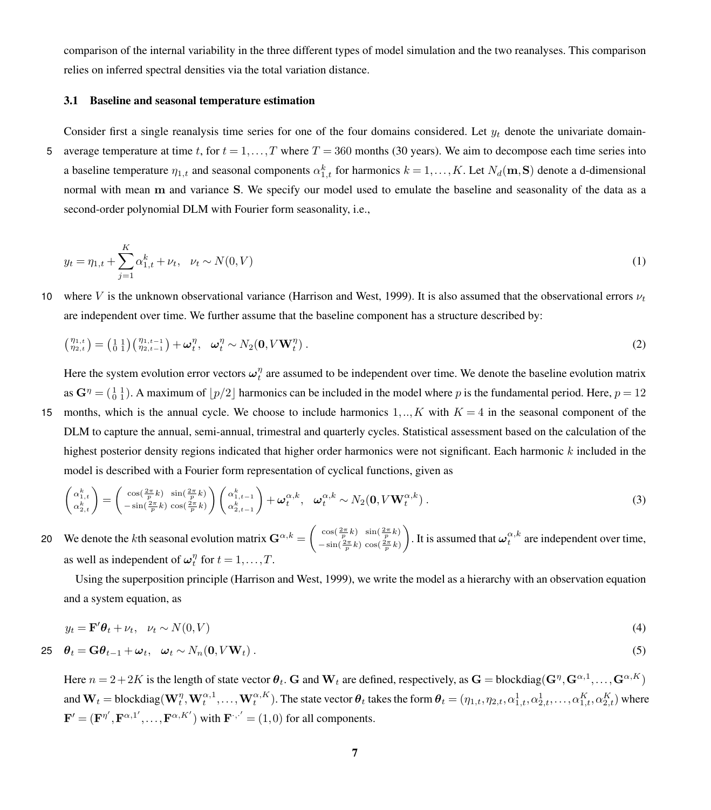comparison of the internal variability in the three different types of model simulation and the two reanalyses. This comparison relies on inferred spectral densities via the total variation distance.

#### 3.1 Baseline and seasonal temperature estimation

Consider first a single reanalysis time series for one of the four domains considered. Let  $y_t$  denote the univariate domain-5 average temperature at time t, for  $t = 1, \ldots, T$  where  $T = 360$  months (30 years). We aim to decompose each time series into a baseline temperature  $\eta_{1,t}$  and seasonal components  $\alpha_{1,t}^k$  for harmonics  $k = 1, ..., K$ . Let  $N_d(\mathbf{m}, \mathbf{S})$  denote a d-dimensional normal with mean m and variance S. We specify our model used to emulate the baseline and seasonality of the data as a second-order polynomial DLM with Fourier form seasonality, i.e.,

$$
y_t = \eta_{1,t} + \sum_{j=1}^K \alpha_{1,t}^k + \nu_t, \quad \nu_t \sim N(0, V)
$$
 (1)

10 where V is the unknown observational variance [\(Harrison and West, 1999\)](#page-19-9). It is also assumed that the observational errors  $\nu_t$ are independent over time. We further assume that the baseline component has a structure described by:

$$
\begin{pmatrix} \eta_{1,t} \\ \eta_{2,t} \end{pmatrix} = \begin{pmatrix} 1 & 1 \\ 0 & 1 \end{pmatrix} \begin{pmatrix} \eta_{1,t-1} \\ \eta_{2,t-1} \end{pmatrix} + \boldsymbol{\omega}_t^{\eta}, \quad \boldsymbol{\omega}_t^{\eta} \sim N_2(\mathbf{0}, V \mathbf{W}_t^{\eta}). \tag{2}
$$

Here the system evolution error vectors  $\omega_t^{\eta}$  are assumed to be independent over time. We denote the baseline evolution matrix as  $G^{\eta} = (\begin{smallmatrix} 1 & 1 \\ 0 & 1 \end{smallmatrix})$ . A maximum of  $\lfloor p/2 \rfloor$  harmonics can be included in the model where p is the fundamental period. Here,  $p = 12$ 15 months, which is the annual cycle. We choose to include harmonics  $1,..,K$  with  $K = 4$  in the seasonal component of the

DLM to capture the annual, semi-annual, trimestral and quarterly cycles. Statistical assessment based on the calculation of the highest posterior density regions indicated that higher order harmonics were not significant. Each harmonic  $k$  included in the model is described with a Fourier form representation of cyclical functions, given as

$$
\begin{pmatrix}\n\alpha_{1,t}^k \\
\alpha_{2,t}^k\n\end{pmatrix} = \begin{pmatrix}\n\cos(\frac{2\pi}{p}k) & \sin(\frac{2\pi}{p}k) \\
-\sin(\frac{2\pi}{p}k) & \cos(\frac{2\pi}{p}k)\n\end{pmatrix}\n\begin{pmatrix}\n\alpha_{1,t-1}^k \\
\alpha_{2,t-1}^k\n\end{pmatrix} + \boldsymbol{\omega}_t^{\alpha,k}, \quad \boldsymbol{\omega}_t^{\alpha,k} \sim N_2(\mathbf{0}, V\mathbf{W}_t^{\alpha,k}).
$$
\n(3)

We denote the kth seasonal evolution matrix  $\mathbf{G}^{\alpha,k} = \begin{pmatrix} \cos(\frac{2\pi}{p}k) & \sin(\frac{2\pi}{p}k) \\ \sin(\frac{2\pi}{p}k) & \cos(\frac{2\pi}{p}k) \end{pmatrix}$  $-\sin(\frac{2\pi}{p}k)\cos(\frac{2\pi}{p}k)$ 20 We denote the kth seasonal evolution matrix  $\mathbf{G}^{\alpha,k} = \begin{pmatrix} \cos(\frac{2\pi}{p}k) & \sin(\frac{2\pi}{p}k) \\ -\sin(\frac{2\pi}{p}k) & \cos(\frac{2\pi}{p}k) \end{pmatrix}$ . It is assumed that  $\boldsymbol{\omega}_t^{\alpha,k}$  are independent over time, as well as independent of  $\omega_t^{\eta}$  for  $t = 1, ..., T$ .

Using the superposition principle [\(Harrison and West, 1999\)](#page-19-9), we write the model as a hierarchy with an observation equation and a system equation, as

<span id="page-6-0"></span>
$$
y_t = \mathbf{F}'\boldsymbol{\theta}_t + \nu_t, \quad \nu_t \sim N(0, V) \tag{4}
$$

$$
\mathbf{25} \quad \boldsymbol{\theta}_t = \mathbf{G} \boldsymbol{\theta}_{t-1} + \boldsymbol{\omega}_t, \quad \boldsymbol{\omega}_t \sim N_n(\mathbf{0}, V\mathbf{W}_t) \,. \tag{5}
$$

Here  $n=2+2K$  is the length of state vector  $\bm{\theta}_t$ .  $\mathbf G$  and  $\mathbf W_t$  are defined, respectively, as  $\mathbf G = \text{blockdiag}(\mathbf G^\eta,\mathbf G^{\alpha,1},\dots,\mathbf G^{\alpha,K})$ and  $\mathbf{W}_t =$  blockdiag $(\mathbf{W}_t^{\eta}, \mathbf{W}_t^{\alpha,1}, \dots, \mathbf{W}_t^{\alpha,K})$ . The state vector  $\boldsymbol{\theta}_t$  takes the form  $\boldsymbol{\theta}_t = (\eta_{1,t}, \eta_{2,t}, \alpha_{1,t}^1, \alpha_{2,t}^1, \dots, \alpha_{1,t}^K, \alpha_{2,t}^K)$  where  $\mathbf{F}' = (\mathbf{F}^{\eta'}, \mathbf{F}^{\alpha,1'}, \dots, \mathbf{F}^{\alpha,K'})$  with  $\mathbf{F}^{.,'} = (1,0)$  for all components.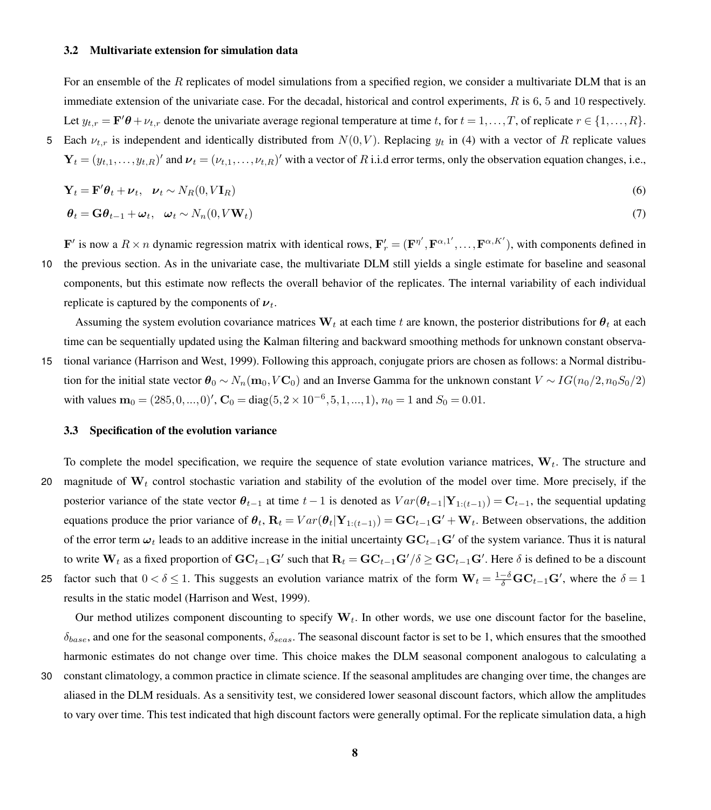#### 3.2 Multivariate extension for simulation data

For an ensemble of the R replicates of model simulations from a specified region, we consider a multivariate DLM that is an immediate extension of the univariate case. For the decadal, historical and control experiments, R is 6, 5 and 10 respectively. Let  $y_{t,r} = \mathbf{F'}\boldsymbol{\theta} + \nu_{t,r}$  denote the univariate average regional temperature at time t, for  $t = 1, \dots, T$ , of replicate  $r \in \{1, \dots, R\}$ . 5 Each  $\nu_{t,r}$  is independent and identically distributed from  $N(0,V)$ . Replacing  $y_t$  in [\(4\)](#page-6-0) with a vector of R replicate values

 $\mathbf{Y}_t = (y_{t,1},...,y_{t,R})'$  and  $\boldsymbol{\nu}_t = (\nu_{t,1},..., \nu_{t,R})'$  with a vector of R i.i.d error terms, only the observation equation changes, i.e.,

$$
\mathbf{Y}_t = \mathbf{F}' \boldsymbol{\theta}_t + \boldsymbol{\nu}_t, \quad \boldsymbol{\nu}_t \sim N_R(0, V \mathbf{I}_R) \tag{6}
$$

$$
\boldsymbol{\theta}_t = \mathbf{G}\boldsymbol{\theta}_{t-1} + \boldsymbol{\omega}_t, \quad \boldsymbol{\omega}_t \sim N_n(0, V\mathbf{W}_t) \tag{7}
$$

 $\mathbf{F}'$  is now a  $R \times n$  dynamic regression matrix with identical rows,  $\mathbf{F}'_r = (\mathbf{F}^{\eta'}, \mathbf{F}^{\alpha,1'}, \dots, \mathbf{F}^{\alpha,K'})$ , with components defined in 10 the previous section. As in the univariate case, the multivariate DLM still yields a single estimate for baseline and seasonal components, but this estimate now reflects the overall behavior of the replicates. The internal variability of each individual replicate is captured by the components of  $\nu_t$ .

Assuming the system evolution covariance matrices  $W_t$  at each time t are known, the posterior distributions for  $\theta_t$  at each time can be sequentially updated using the Kalman filtering and backward smoothing methods for unknown constant observa-

15 tional variance [\(Harrison and West, 1999\)](#page-19-9). Following this approach, conjugate priors are chosen as follows: a Normal distribution for the initial state vector  $\theta_0 \sim N_n(\mathbf{m}_0, V\mathbf{C}_0)$  and an Inverse Gamma for the unknown constant  $V \sim IG(n_0/2, n_0S_0/2)$ with values  $\mathbf{m}_0 = (285, 0, ..., 0)^\prime$ ,  $\mathbf{C}_0 = \text{diag}(5, 2 \times 10^{-6}, 5, 1, ..., 1)$ ,  $n_0 = 1$  and  $S_0 = 0.01$ .

#### 3.3 Specification of the evolution variance

- To complete the model specification, we require the sequence of state evolution variance matrices,  $W_t$ . The structure and 20 magnitude of  $W_t$  control stochastic variation and stability of the evolution of the model over time. More precisely, if the posterior variance of the state vector  $\theta_{t-1}$  at time  $t-1$  is denoted as  $Var(\theta_{t-1}|\mathbf{Y}_{1:(t-1)}) = \mathbf{C}_{t-1}$ , the sequential updating equations produce the prior variance of  $\theta_t$ ,  $\mathbf{R}_t = Var(\theta_t | \mathbf{Y}_{1:(t-1)}) = \mathbf{G}\mathbf{C}_{t-1}\mathbf{G}' + \mathbf{W}_t$ . Between observations, the addition of the error term  $\omega_t$  leads to an additive increase in the initial uncertainty  $\mathbf{GC}_{t-1}\mathbf{G}'$  of the system variance. Thus it is natural to write  $\mathbf{W}_t$  as a fixed proportion of  $\mathbf{GC}_{t-1}\mathbf{G}'$  such that  $\mathbf{R}_t=\mathbf{GC}_{t-1}\mathbf{G}'/\delta\geq \mathbf{GC}_{t-1}\mathbf{G}'.$  Here  $\delta$  is defined to be a discount 25 factor such that  $0 < \delta \le 1$ . This suggests an evolution variance matrix of the form  $W_t = \frac{1-\delta}{\delta} \mathbf{GC}_{t-1} \mathbf{G}'$ , where the  $\delta = 1$ 
	- results in the static model [\(Harrison and West, 1999\)](#page-19-9).

Our method utilizes component discounting to specify  $W_t$ . In other words, we use one discount factor for the baseline,  $\delta_{base}$ , and one for the seasonal components,  $\delta_{seas}$ . The seasonal discount factor is set to be 1, which ensures that the smoothed harmonic estimates do not change over time. This choice makes the DLM seasonal component analogous to calculating a

30 constant climatology, a common practice in climate science. If the seasonal amplitudes are changing over time, the changes are aliased in the DLM residuals. As a sensitivity test, we considered lower seasonal discount factors, which allow the amplitudes to vary over time. This test indicated that high discount factors were generally optimal. For the replicate simulation data, a high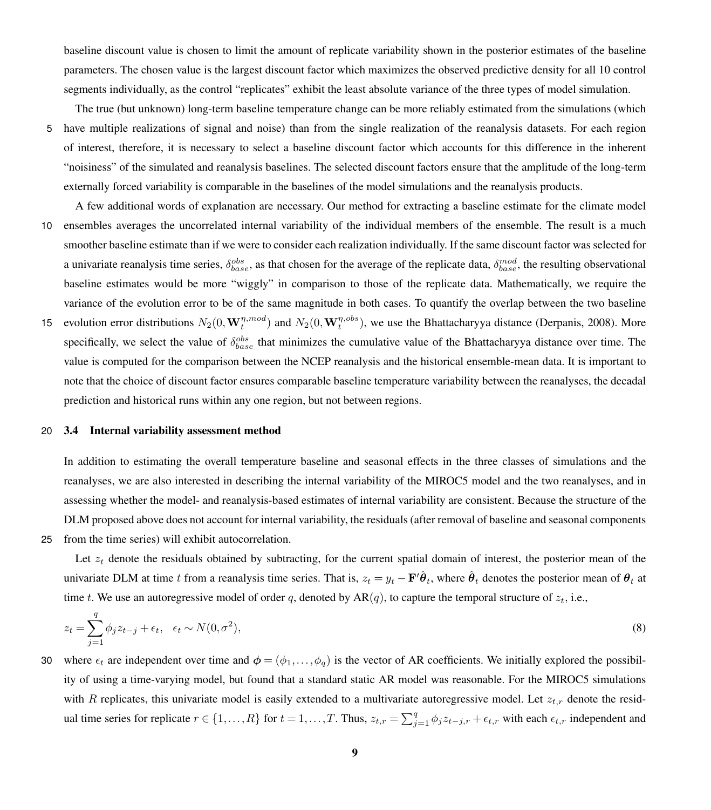baseline discount value is chosen to limit the amount of replicate variability shown in the posterior estimates of the baseline parameters. The chosen value is the largest discount factor which maximizes the observed predictive density for all 10 control segments individually, as the control "replicates" exhibit the least absolute variance of the three types of model simulation.

- The true (but unknown) long-term baseline temperature change can be more reliably estimated from the simulations (which 5 have multiple realizations of signal and noise) than from the single realization of the reanalysis datasets. For each region of interest, therefore, it is necessary to select a baseline discount factor which accounts for this difference in the inherent "noisiness" of the simulated and reanalysis baselines. The selected discount factors ensure that the amplitude of the long-term externally forced variability is comparable in the baselines of the model simulations and the reanalysis products.
- A few additional words of explanation are necessary. Our method for extracting a baseline estimate for the climate model 10 ensembles averages the uncorrelated internal variability of the individual members of the ensemble. The result is a much smoother baseline estimate than if we were to consider each realization individually. If the same discount factor was selected for a univariate reanalysis time series,  $\delta_{base}^{obs}$ , as that chosen for the average of the replicate data,  $\delta_{base}^{mod}$ , the resulting observational baseline estimates would be more "wiggly" in comparison to those of the replicate data. Mathematically, we require the variance of the evolution error to be of the same magnitude in both cases. To quantify the overlap between the two baseline
- 15 evolution error distributions  $N_2(0, \mathbf{W}_t^{\eta,mod})$  and  $N_2(0, \mathbf{W}_t^{\eta,obs})$ , we use the Bhattacharyya distance [\(Derpanis, 2008\)](#page-19-10). More specifically, we select the value of  $\delta_{base}^{obs}$  that minimizes the cumulative value of the Bhattacharyya distance over time. The value is computed for the comparison between the NCEP reanalysis and the historical ensemble-mean data. It is important to note that the choice of discount factor ensures comparable baseline temperature variability between the reanalyses, the decadal prediction and historical runs within any one region, but not between regions.

#### 20 3.4 Internal variability assessment method

In addition to estimating the overall temperature baseline and seasonal effects in the three classes of simulations and the reanalyses, we are also interested in describing the internal variability of the MIROC5 model and the two reanalyses, and in assessing whether the model- and reanalysis-based estimates of internal variability are consistent. Because the structure of the DLM proposed above does not account for internal variability, the residuals (after removal of baseline and seasonal components 25 from the time series) will exhibit autocorrelation.

Let  $z_t$  denote the residuals obtained by subtracting, for the current spatial domain of interest, the posterior mean of the univariate DLM at time t from a reanalysis time series. That is,  $z_t = y_t - \mathbf{F}'\hat{\theta}_t$ , where  $\hat{\theta}_t$  denotes the posterior mean of  $\theta_t$  at time t. We use an autoregressive model of order q, denoted by  $AR(q)$ , to capture the temporal structure of  $z_t$ , i.e.,

<span id="page-8-0"></span>
$$
z_t = \sum_{j=1}^q \phi_j z_{t-j} + \epsilon_t, \quad \epsilon_t \sim N(0, \sigma^2),
$$
\n(8)

30 where  $\epsilon_t$  are independent over time and  $\phi = (\phi_1, \dots, \phi_q)$  is the vector of AR coefficients. We initially explored the possibility of using a time-varying model, but found that a standard static AR model was reasonable. For the MIROC5 simulations with R replicates, this univariate model is easily extended to a multivariate autoregressive model. Let  $z_{t,r}$  denote the residual time series for replicate  $r \in \{1, ..., R\}$  for  $t = 1, ..., T$ . Thus,  $z_{t,r} = \sum_{j=1}^{q} \phi_j z_{t-j,r} + \epsilon_{t,r}$  with each  $\epsilon_{t,r}$  independent and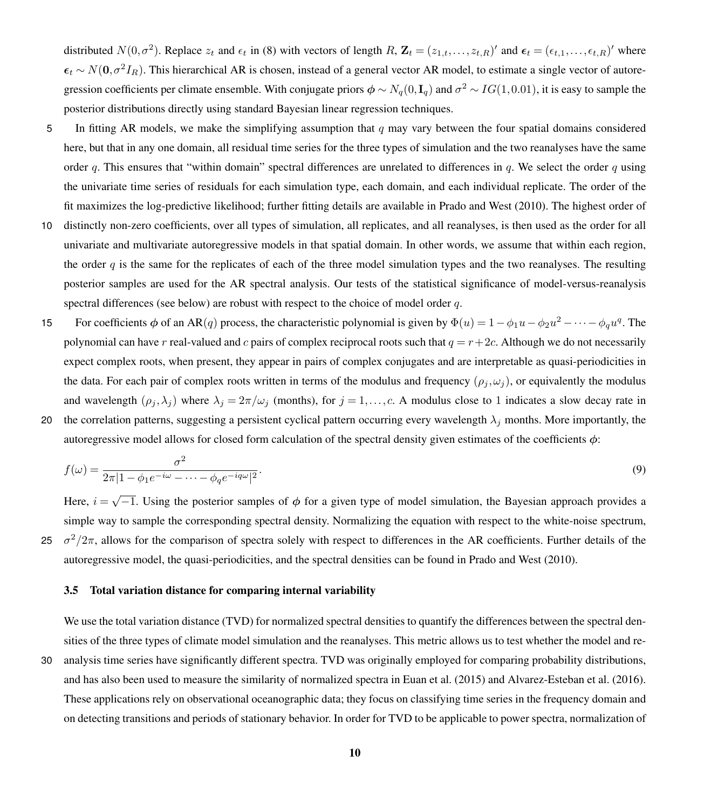distributed  $N(0,\sigma^2)$ . Replace  $z_t$  and  $\epsilon_t$  in [\(8\)](#page-8-0) with vectors of length  $R$ ,  $\mathbf{Z}_t = (z_{1,t},...,z_{t,R})'$  and  $\boldsymbol{\epsilon}_t = (\epsilon_{t,1},..., \epsilon_{t,R})'$  where  $\epsilon_t \sim N(0, \sigma^2 I_R)$ . This hierarchical AR is chosen, instead of a general vector AR model, to estimate a single vector of autoregression coefficients per climate ensemble. With conjugate priors  $\phi \sim N_q(0, \mathbf{I}_q)$  and  $\sigma^2 \sim IG(1, 0.01)$ , it is easy to sample the posterior distributions directly using standard Bayesian linear regression techniques.

- 5 In fitting AR models, we make the simplifying assumption that q may vary between the four spatial domains considered here, but that in any one domain, all residual time series for the three types of simulation and the two reanalyses have the same order q. This ensures that "within domain" spectral differences are unrelated to differences in q. We select the order q using the univariate time series of residuals for each simulation type, each domain, and each individual replicate. The order of the fit maximizes the log-predictive likelihood; further fitting details are available in [Prado and West](#page-20-6) [\(2010\)](#page-20-6). The highest order of
- 10 distinctly non-zero coefficients, over all types of simulation, all replicates, and all reanalyses, is then used as the order for all univariate and multivariate autoregressive models in that spatial domain. In other words, we assume that within each region, the order q is the same for the replicates of each of the three model simulation types and the two reanalyses. The resulting posterior samples are used for the AR spectral analysis. Our tests of the statistical significance of model-versus-reanalysis spectral differences (see below) are robust with respect to the choice of model order  $q$ .
- 15 For coefficients  $\phi$  of an AR(q) process, the characteristic polynomial is given by  $\Phi(u) = 1 \phi_1 u \phi_2 u^2 \cdots \phi_q u^q$ . The polynomial can have r real-valued and c pairs of complex reciprocal roots such that  $q = r + 2c$ . Although we do not necessarily expect complex roots, when present, they appear in pairs of complex conjugates and are interpretable as quasi-periodicities in the data. For each pair of complex roots written in terms of the modulus and frequency  $(\rho_j, \omega_j)$ , or equivalently the modulus and wavelength  $(\rho_j, \lambda_j)$  where  $\lambda_j = 2\pi/\omega_j$  (months), for  $j = 1, \ldots, c$ . A modulus close to 1 indicates a slow decay rate in 20 the correlation patterns, suggesting a persistent cyclical pattern occurring every wavelength  $\lambda_i$  months. More importantly, the
- autoregressive model allows for closed form calculation of the spectral density given estimates of the coefficients  $\phi$ :

$$
f(\omega) = \frac{\sigma^2}{2\pi |1 - \phi_1 e^{-i\omega} - \dots - \phi_q e^{-iq\omega}|^2}.
$$
\n<sup>(9)</sup>

Here,  $i = \sqrt{-1}$ . Using the posterior samples of  $\phi$  for a given type of model simulation, the Bayesian approach provides a simple way to sample the corresponding spectral density. Normalizing the equation with respect to the white-noise spectrum, 25  $\sigma^2/2\pi$ , allows for the comparison of spectra solely with respect to differences in the AR coefficients. Further details of the autoregressive model, the quasi-periodicities, and the spectral densities can be found in [Prado and West](#page-20-6) [\(2010\)](#page-20-6).

#### 3.5 Total variation distance for comparing internal variability

We use the total variation distance (TVD) for normalized spectral densities to quantify the differences between the spectral densities of the three types of climate model simulation and the reanalyses. This metric allows us to test whether the model and re-

30 analysis time series have significantly different spectra. TVD was originally employed for comparing probability distributions, and has also been used to measure the similarity of normalized spectra in [Euan et al.](#page-19-11) [\(2015\)](#page-19-11) and [Alvarez-Esteban et al.](#page-19-12) [\(2016\)](#page-19-12). These applications rely on observational oceanographic data; they focus on classifying time series in the frequency domain and on detecting transitions and periods of stationary behavior. In order for TVD to be applicable to power spectra, normalization of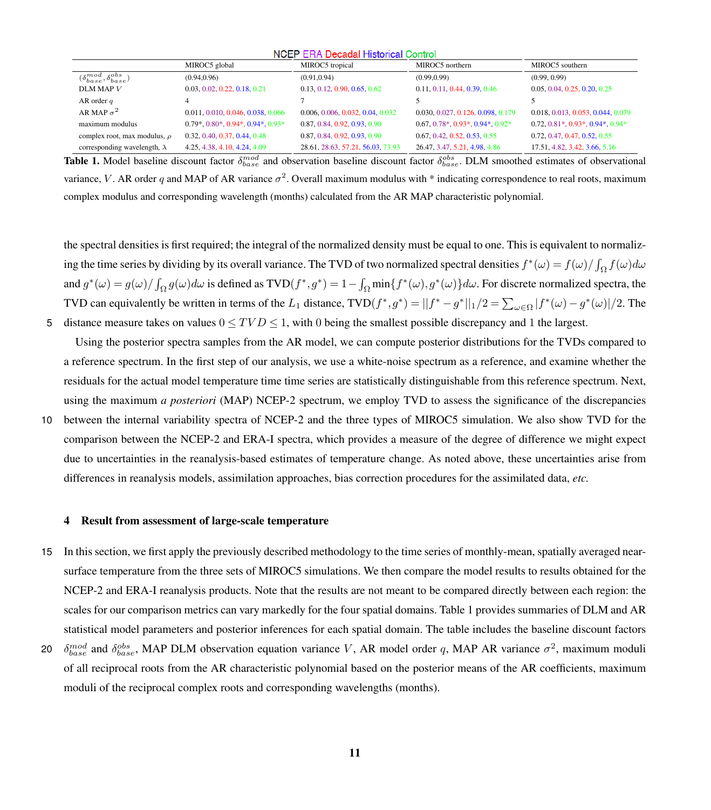<span id="page-10-0"></span>

| NGEF ERA Decadal Filsionical Control         |                                                  |                                   |                                   |                                        |
|----------------------------------------------|--------------------------------------------------|-----------------------------------|-----------------------------------|----------------------------------------|
|                                              | MIROC5 global                                    | MIROC5 tropical                   | MIROC5 northern                   | MIROC5 southern                        |
| $(\delta^{mod}_{base}, \delta^{obs}_{base})$ | (0.94, 0.96)                                     | (0.91, 0.94)                      | (0.99, 0.99)                      | (0.99, 0.99)                           |
| DLM MAP V                                    | 0.03, 0.02, 0.22, 0.18, 0.21                     | 0.13, 0.12, 0.90, 0.65, 0.62      | 0.11, 0.11, 0.44, 0.39, 0.46      | 0.05, 0.04, 0.25, 0.20, 0.25           |
| AR order $q$                                 |                                                  |                                   |                                   |                                        |
| AR MAP $\sigma^2$                            | 0.011, 0.010, 0.046, 0.038, 0.066                | 0.006, 0.006, 0.032, 0.04, 0.032  | 0.030, 0.027, 0.126, 0.098, 0.179 | 0.018, 0.013, 0.053, 0.044, 0.079      |
| maximum modulus                              | $0.79$ *, $0.80$ *, $0.94$ *, $0.94$ *, $0.93$ * | 0.87, 0.84, 0.92, 0.93, 0.90      | 0.67, 0.78, 0.93, 0.94, 0.92      | $0.72, 0.81^*, 0.93^*, 0.94^*, 0.94^*$ |
| complex root, max modulus, $\rho$            | 0.32, 0.40, 0.37, 0.44, 0.48                     | 0.87, 0.84, 0.92, 0.93, 0.90      | 0.67, 0.42, 0.52, 0.53, 0.55      | 0.72, 0.47, 0.47, 0.52, 0.55           |
| corresponding wavelength, $\lambda$          | 4.25, 4.38, 4.10, 4.24, 4.09                     | 28.61, 28.63, 57.21, 56.03, 73.93 | 26.47, 3.47, 5.21, 4.98, 4.86     | 17.51, 4.82, 3.42, 3.66, 5.16          |

**NOTE TRAINING IN BELIEVE OVER** 

**Table 1.** Model baseline discount factor  $\delta_{base}^{mod}$  and observation baseline discount factor  $\delta_{base}^{obs}$ . DLM smoothed estimates of observational variance, V. AR order q and MAP of AR variance  $\sigma^2$ . Overall maximum modulus with \* indicating correspondence to real roots, maximum complex modulus and corresponding wavelength (months) calculated from the AR MAP characteristic polynomial.

the spectral densities is first required; the integral of the normalized density must be equal to one. This is equivalent to normalizing the time series by dividing by its overall variance. The TVD of two normalized spectral densities  $f^*(\omega) = f(\omega)/\int_{\Omega} f(\omega) d\omega$ and  $g^*(\omega) = g(\omega)/\int_{\Omega} g(\omega) d\omega$  is defined as TVD $(f^*, g^*) = 1 - \int_{\Omega} \min\{f^*(\omega), g^*(\omega)\} d\omega$ . For discrete normalized spectra, the TVD can equivalently be written in terms of the L<sub>1</sub> distance, TVD $(f^*, g^*) = ||f^* - g^*||_1/2 = \sum_{\omega \in \Omega} |f^*(\omega) - g^*(\omega)|/2$ . The 5 distance measure takes on values  $0 \le TVD \le 1$ , with 0 being the smallest possible discrepancy and 1 the largest.

Using the posterior spectra samples from the AR model, we can compute posterior distributions for the TVDs compared to a reference spectrum. In the first step of our analysis, we use a white-noise spectrum as a reference, and examine whether the residuals for the actual model temperature time time series are statistically distinguishable from this reference spectrum. Next, using the maximum *a posteriori* (MAP) NCEP-2 spectrum, we employ TVD to assess the significance of the discrepancies 10 between the internal variability spectra of NCEP-2 and the three types of MIROC5 simulation. We also show TVD for the comparison between the NCEP-2 and ERA-I spectra, which provides a measure of the degree of difference we might expect due to uncertainties in the reanalysis-based estimates of temperature change. As noted above, these uncertainties arise from differences in reanalysis models, assimilation approaches, bias correction procedures for the assimilated data, *etc.*

#### 4 Result from assessment of large-scale temperature

- 15 In this section, we first apply the previously described methodology to the time series of monthly-mean, spatially averaged nearsurface temperature from the three sets of MIROC5 simulations. We then compare the model results to results obtained for the NCEP-2 and ERA-I reanalysis products. Note that the results are not meant to be compared directly between each region: the scales for our comparison metrics can vary markedly for the four spatial domains. Table [1](#page-10-0) provides summaries of DLM and AR statistical model parameters and posterior inferences for each spatial domain. The table includes the baseline discount factors
- 20  $\delta_{base}^{mod}$  and  $\delta_{base}^{obs}$ , MAP DLM observation equation variance V, AR model order q, MAP AR variance  $\sigma^2$ , maximum moduli of all reciprocal roots from the AR characteristic polynomial based on the posterior means of the AR coefficients, maximum moduli of the reciprocal complex roots and corresponding wavelengths (months).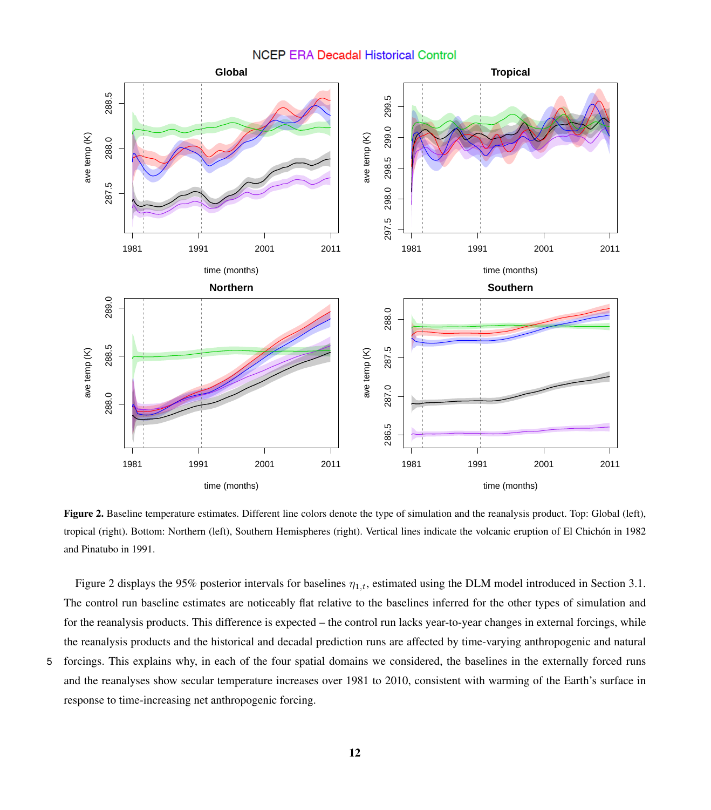## **NCEP ERA Decadal Historical Control Global Tropical** 299.5 297.5 298.0 298.5 299.0 299.5 298.0 298.5 299.0 ave temp (K) ave temp (K) ဖ

287.5 288.0 288.5

287.5

<span id="page-11-0"></span>288.5

ave temp (K)

ave temp (K) 288.0



Figure 2. Baseline temperature estimates. Different line colors denote the type of simulation and the reanalysis product. Top: Global (left), tropical (right). Bottom: Northern (left), Southern Hemispheres (right). Vertical lines indicate the volcanic eruption of El Chichón in 1982 and Pinatubo in 1991.

Figure [2](#page-11-0) displays the 95% posterior intervals for baselines  $\eta_{1,t}$ , estimated using the DLM model introduced in Section 3.1. The control run baseline estimates are noticeably flat relative to the baselines inferred for the other types of simulation and for the reanalysis products. This difference is expected – the control run lacks year-to-year changes in external forcings, while the reanalysis products and the historical and decadal prediction runs are affected by time-varying anthropogenic and natural

5 forcings. This explains why, in each of the four spatial domains we considered, the baselines in the externally forced runs and the reanalyses show secular temperature increases over 1981 to 2010, consistent with warming of the Earth's surface in response to time-increasing net anthropogenic forcing.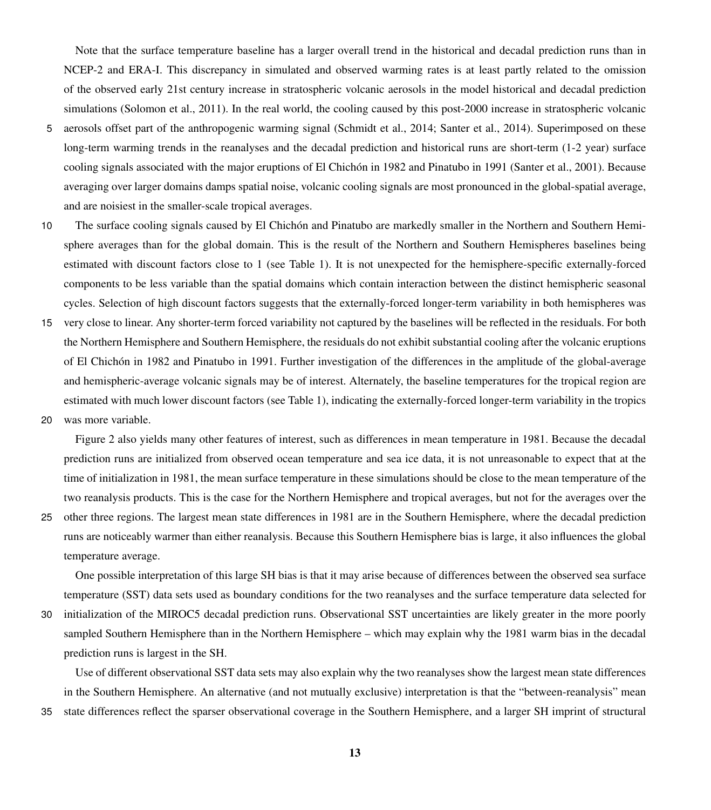Note that the surface temperature baseline has a larger overall trend in the historical and decadal prediction runs than in NCEP-2 and ERA-I. This discrepancy in simulated and observed warming rates is at least partly related to the omission of the observed early 21st century increase in stratospheric volcanic aerosols in the model historical and decadal prediction simulations (Solomon et al., 2011). In the real world, the cooling caused by this post-2000 increase in stratospheric volcanic

- 5 aerosols offset part of the anthropogenic warming signal (Schmidt et al., 2014; Santer et al., 2014). Superimposed on these long-term warming trends in the reanalyses and the decadal prediction and historical runs are short-term (1-2 year) surface cooling signals associated with the major eruptions of El Chichón in 1982 and Pinatubo in 1991 (Santer et al., 2001). Because averaging over larger domains damps spatial noise, volcanic cooling signals are most pronounced in the global-spatial average, and are noisiest in the smaller-scale tropical averages.
- 10 The surface cooling signals caused by El Chichón and Pinatubo are markedly smaller in the Northern and Southern Hemisphere averages than for the global domain. This is the result of the Northern and Southern Hemispheres baselines being estimated with discount factors close to 1 (see Table [1\)](#page-10-0). It is not unexpected for the hemisphere-specific externally-forced components to be less variable than the spatial domains which contain interaction between the distinct hemispheric seasonal cycles. Selection of high discount factors suggests that the externally-forced longer-term variability in both hemispheres was
- 15 very close to linear. Any shorter-term forced variability not captured by the baselines will be reflected in the residuals. For both the Northern Hemisphere and Southern Hemisphere, the residuals do not exhibit substantial cooling after the volcanic eruptions of El Chichón in 1982 and Pinatubo in 1991. Further investigation of the differences in the amplitude of the global-average and hemispheric-average volcanic signals may be of interest. Alternately, the baseline temperatures for the tropical region are estimated with much lower discount factors (see Table [1\)](#page-10-0), indicating the externally-forced longer-term variability in the tropics
- 20 was more variable.

Figure 2 also yields many other features of interest, such as differences in mean temperature in 1981. Because the decadal prediction runs are initialized from observed ocean temperature and sea ice data, it is not unreasonable to expect that at the time of initialization in 1981, the mean surface temperature in these simulations should be close to the mean temperature of the two reanalysis products. This is the case for the Northern Hemisphere and tropical averages, but not for the averages over the

25 other three regions. The largest mean state differences in 1981 are in the Southern Hemisphere, where the decadal prediction runs are noticeably warmer than either reanalysis. Because this Southern Hemisphere bias is large, it also influences the global temperature average.

One possible interpretation of this large SH bias is that it may arise because of differences between the observed sea surface temperature (SST) data sets used as boundary conditions for the two reanalyses and the surface temperature data selected for

30 initialization of the MIROC5 decadal prediction runs. Observational SST uncertainties are likely greater in the more poorly sampled Southern Hemisphere than in the Northern Hemisphere – which may explain why the 1981 warm bias in the decadal prediction runs is largest in the SH.

Use of different observational SST data sets may also explain why the two reanalyses show the largest mean state differences in the Southern Hemisphere. An alternative (and not mutually exclusive) interpretation is that the "between-reanalysis" mean

35 state differences reflect the sparser observational coverage in the Southern Hemisphere, and a larger SH imprint of structural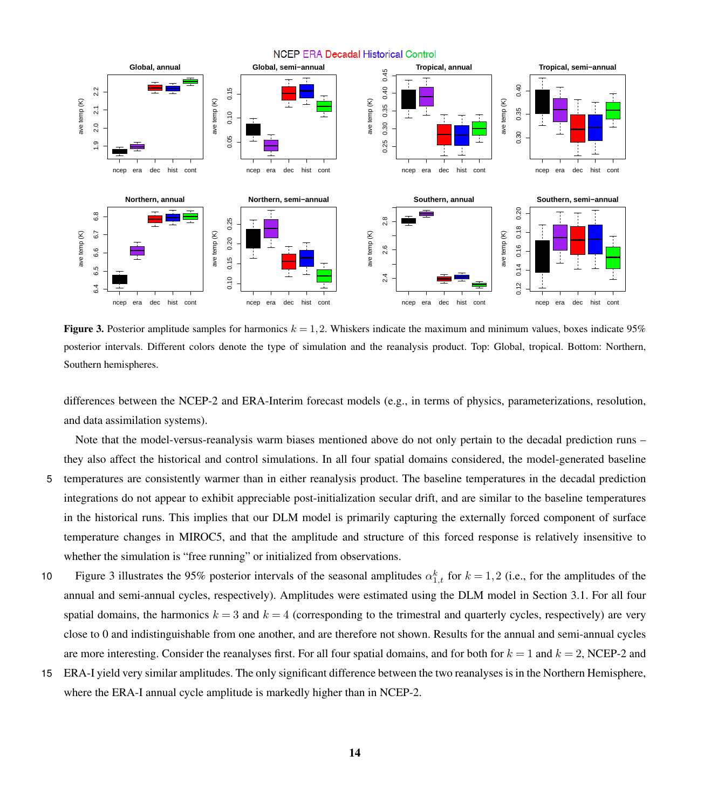<span id="page-13-0"></span>

**Figure 3.** Posterior amplitude samples for harmonics  $k = 1, 2$ . Whiskers indicate the maximum and minimum values, boxes indicate 95% posterior intervals. Different colors denote the type of simulation and the reanalysis product. Top: Global, tropical. Bottom: Northern, Southern hemispheres.

differences between the NCEP-2 and ERA-Interim forecast models (e.g., in terms of physics, parameterizations, resolution, and data assimilation systems).

Note that the model-versus-reanalysis warm biases mentioned above do not only pertain to the decadal prediction runs – they also affect the historical and control simulations. In all four spatial domains considered, the model-generated baseline 5 temperatures are consistently warmer than in either reanalysis product. The baseline temperatures in the decadal prediction integrations do not appear to exhibit appreciable post-initialization secular drift, and are similar to the baseline temperatures in the historical runs. This implies that our DLM model is primarily capturing the externally forced component of surface temperature changes in MIROC5, and that the amplitude and structure of this forced response is relatively insensitive to

10 Figure [3](#page-13-0) illustrates the 95% posterior intervals of the seasonal amplitudes  $\alpha_{1,t}^k$  for  $k = 1,2$  (i.e., for the amplitudes of the annual and semi-annual cycles, respectively). Amplitudes were estimated using the DLM model in Section 3.1. For all four spatial domains, the harmonics  $k = 3$  and  $k = 4$  (corresponding to the trimestral and quarterly cycles, respectively) are very close to 0 and indistinguishable from one another, and are therefore not shown. Results for the annual and semi-annual cycles are more interesting. Consider the reanalyses first. For all four spatial domains, and for both for  $k = 1$  and  $k = 2$ , NCEP-2 and

whether the simulation is "free running" or initialized from observations.

15 ERA-I yield very similar amplitudes. The only significant difference between the two reanalyses is in the Northern Hemisphere, where the ERA-I annual cycle amplitude is markedly higher than in NCEP-2.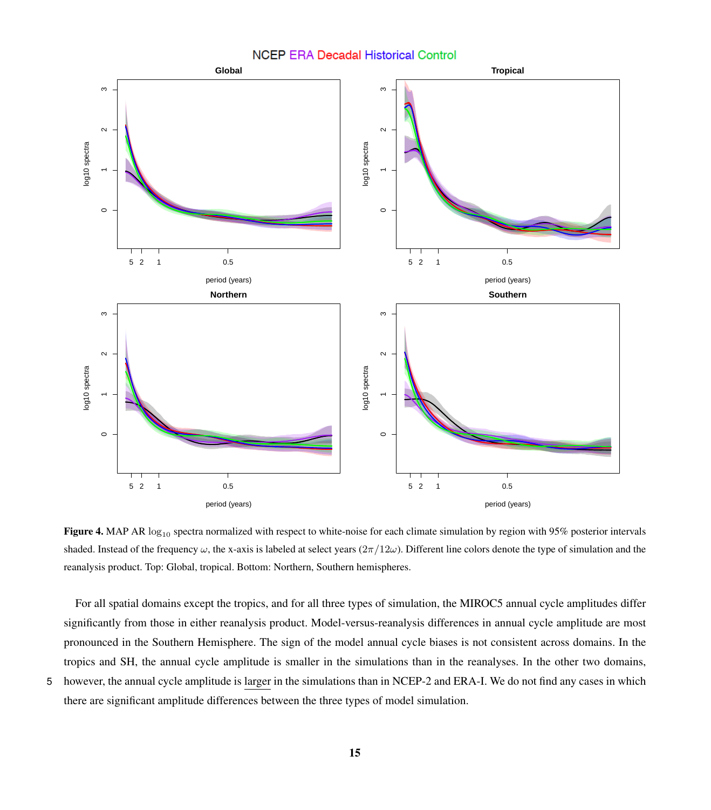### **NCEP ERA Decadal Historical Control**

<span id="page-14-0"></span>

Figure 4. MAP AR  $log_{10}$  spectra normalized with respect to white-noise for each climate simulation by region with 95% posterior intervals shaded. Instead of the frequency  $\omega$ , the x-axis is labeled at select years ( $2\pi/12\omega$ ). Different line colors denote the type of simulation and the reanalysis product. Top: Global, tropical. Bottom: Northern, Southern hemispheres.

For all spatial domains except the tropics, and for all three types of simulation, the MIROC5 annual cycle amplitudes differ significantly from those in either reanalysis product. Model-versus-reanalysis differences in annual cycle amplitude are most pronounced in the Southern Hemisphere. The sign of the model annual cycle biases is not consistent across domains. In the tropics and SH, the annual cycle amplitude is smaller in the simulations than in the reanalyses. In the other two domains, 5 however, the annual cycle amplitude is larger in the simulations than in NCEP-2 and ERA-I. We do not find any cases in which there are significant amplitude differences between the three types of model simulation.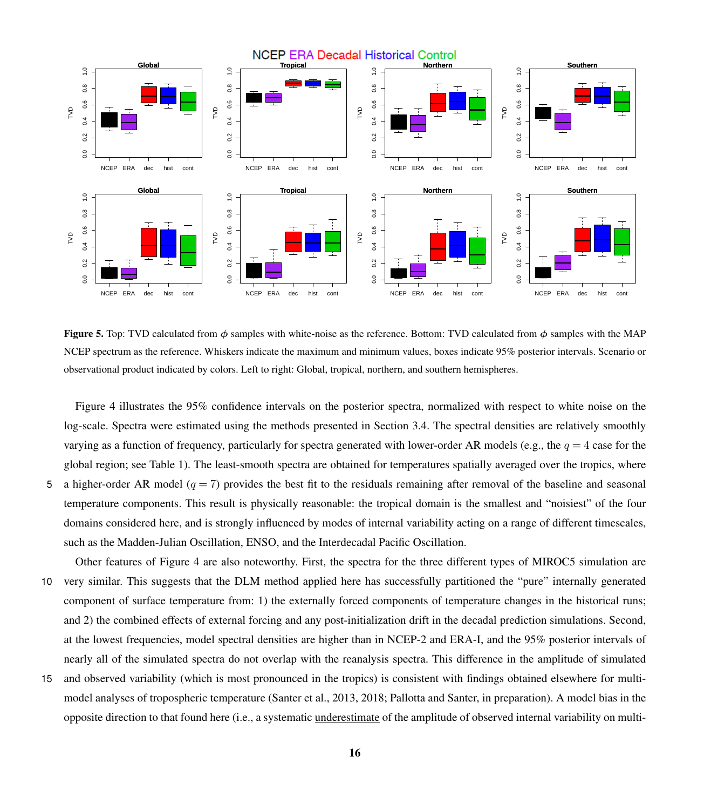<span id="page-15-0"></span>

**Figure 5.** Top: TVD calculated from  $\phi$  samples with white-noise as the reference. Bottom: TVD calculated from  $\phi$  samples with the MAP NCEP spectrum as the reference. Whiskers indicate the maximum and minimum values, boxes indicate 95% posterior intervals. Scenario or observational product indicated by colors. Left to right: Global, tropical, northern, and southern hemispheres.

Figure [4](#page-14-0) illustrates the 95% confidence intervals on the posterior spectra, normalized with respect to white noise on the log-scale. Spectra were estimated using the methods presented in Section 3.4. The spectral densities are relatively smoothly varying as a function of frequency, particularly for spectra generated with lower-order AR models (e.g., the  $q = 4$  case for the global region; see Table [1\)](#page-10-0). The least-smooth spectra are obtained for temperatures spatially averaged over the tropics, where 5 a higher-order AR model ( $q = 7$ ) provides the best fit to the residuals remaining after removal of the baseline and seasonal temperature components. This result is physically reasonable: the tropical domain is the smallest and "noisiest" of the four

domains considered here, and is strongly influenced by modes of internal variability acting on a range of different timescales,

Other features of Figure [4](#page-14-0) are also noteworthy. First, the spectra for the three different types of MIROC5 simulation are 10 very similar. This suggests that the DLM method applied here has successfully partitioned the "pure" internally generated component of surface temperature from: 1) the externally forced components of temperature changes in the historical runs; and 2) the combined effects of external forcing and any post-initialization drift in the decadal prediction simulations. Second, at the lowest frequencies, model spectral densities are higher than in NCEP-2 and ERA-I, and the 95% posterior intervals of nearly all of the simulated spectra do not overlap with the reanalysis spectra. This difference in the amplitude of simulated

such as the Madden-Julian Oscillation, ENSO, and the Interdecadal Pacific Oscillation.

15 and observed variability (which is most pronounced in the tropics) is consistent with findings obtained elsewhere for multimodel analyses of tropospheric temperature (Santer et al., 2013, 2018; Pallotta and Santer, in preparation). A model bias in the opposite direction to that found here (i.e., a systematic underestimate of the amplitude of observed internal variability on multi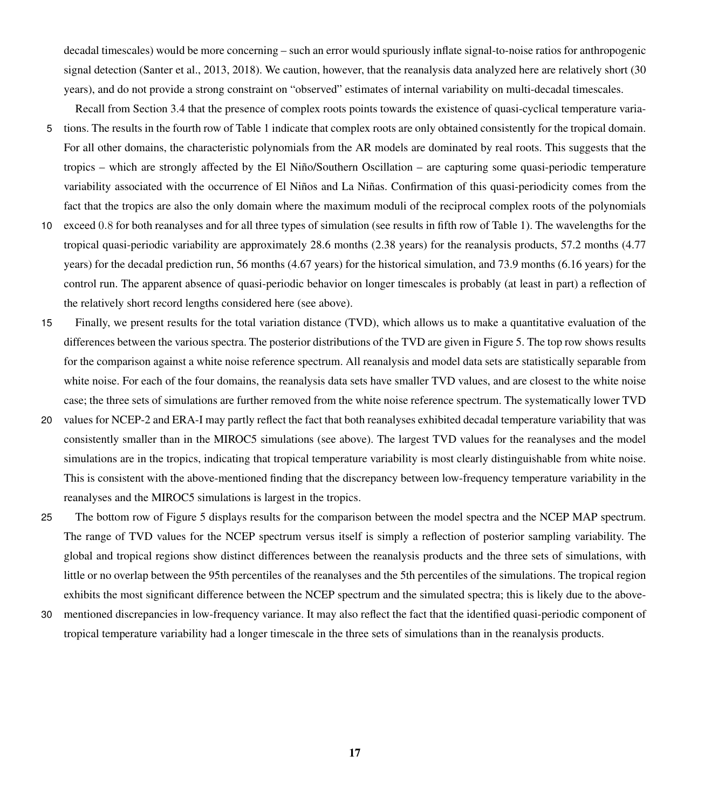decadal timescales) would be more concerning – such an error would spuriously inflate signal-to-noise ratios for anthropogenic signal detection (Santer et al., 2013, 2018). We caution, however, that the reanalysis data analyzed here are relatively short (30) years), and do not provide a strong constraint on "observed" estimates of internal variability on multi-decadal timescales.

Recall from Section 3.4 that the presence of complex roots points towards the existence of quasi-cyclical temperature varia-

- 5 tions. The results in the fourth row of Table [1](#page-10-0) indicate that complex roots are only obtained consistently for the tropical domain. For all other domains, the characteristic polynomials from the AR models are dominated by real roots. This suggests that the tropics – which are strongly affected by the El Niño/Southern Oscillation – are capturing some quasi-periodic temperature variability associated with the occurrence of El Niños and La Niñas. Confirmation of this quasi-periodicity comes from the fact that the tropics are also the only domain where the maximum moduli of the reciprocal complex roots of the polynomials
- 10 exceed 0.8 for both reanalyses and for all three types of simulation (see results in fifth row of Table [1\)](#page-10-0). The wavelengths for the tropical quasi-periodic variability are approximately 28.6 months (2.38 years) for the reanalysis products, 57.2 months (4.77 years) for the decadal prediction run, 56 months (4.67 years) for the historical simulation, and 73.9 months (6.16 years) for the control run. The apparent absence of quasi-periodic behavior on longer timescales is probably (at least in part) a reflection of the relatively short record lengths considered here (see above).
- 15 Finally, we present results for the total variation distance (TVD), which allows us to make a quantitative evaluation of the differences between the various spectra. The posterior distributions of the TVD are given in Figure [5.](#page-15-0) The top row shows results for the comparison against a white noise reference spectrum. All reanalysis and model data sets are statistically separable from white noise. For each of the four domains, the reanalysis data sets have smaller TVD values, and are closest to the white noise case; the three sets of simulations are further removed from the white noise reference spectrum. The systematically lower TVD
- 20 values for NCEP-2 and ERA-I may partly reflect the fact that both reanalyses exhibited decadal temperature variability that was consistently smaller than in the MIROC5 simulations (see above). The largest TVD values for the reanalyses and the model simulations are in the tropics, indicating that tropical temperature variability is most clearly distinguishable from white noise. This is consistent with the above-mentioned finding that the discrepancy between low-frequency temperature variability in the reanalyses and the MIROC5 simulations is largest in the tropics.
- 25 The bottom row of Figure [5](#page-15-0) displays results for the comparison between the model spectra and the NCEP MAP spectrum. The range of TVD values for the NCEP spectrum versus itself is simply a reflection of posterior sampling variability. The global and tropical regions show distinct differences between the reanalysis products and the three sets of simulations, with little or no overlap between the 95th percentiles of the reanalyses and the 5th percentiles of the simulations. The tropical region exhibits the most significant difference between the NCEP spectrum and the simulated spectra; this is likely due to the above-
- 30 mentioned discrepancies in low-frequency variance. It may also reflect the fact that the identified quasi-periodic component of tropical temperature variability had a longer timescale in the three sets of simulations than in the reanalysis products.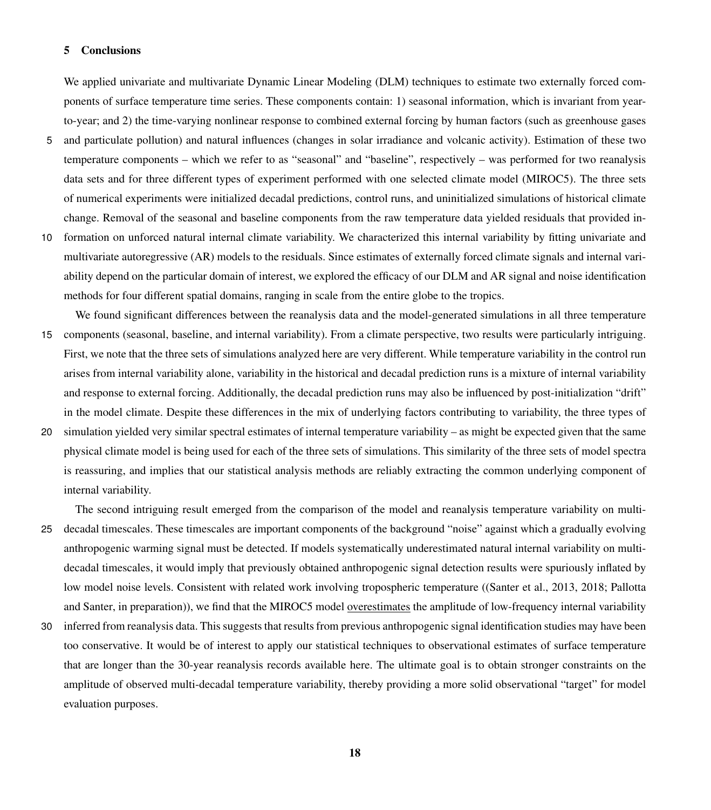#### 5 Conclusions

We applied univariate and multivariate Dynamic Linear Modeling (DLM) techniques to estimate two externally forced components of surface temperature time series. These components contain: 1) seasonal information, which is invariant from yearto-year; and 2) the time-varying nonlinear response to combined external forcing by human factors (such as greenhouse gases

- 5 and particulate pollution) and natural influences (changes in solar irradiance and volcanic activity). Estimation of these two temperature components – which we refer to as "seasonal" and "baseline", respectively – was performed for two reanalysis data sets and for three different types of experiment performed with one selected climate model (MIROC5). The three sets of numerical experiments were initialized decadal predictions, control runs, and uninitialized simulations of historical climate change. Removal of the seasonal and baseline components from the raw temperature data yielded residuals that provided in-
- 10 formation on unforced natural internal climate variability. We characterized this internal variability by fitting univariate and multivariate autoregressive (AR) models to the residuals. Since estimates of externally forced climate signals and internal variability depend on the particular domain of interest, we explored the efficacy of our DLM and AR signal and noise identification methods for four different spatial domains, ranging in scale from the entire globe to the tropics.
- We found significant differences between the reanalysis data and the model-generated simulations in all three temperature 15 components (seasonal, baseline, and internal variability). From a climate perspective, two results were particularly intriguing. First, we note that the three sets of simulations analyzed here are very different. While temperature variability in the control run arises from internal variability alone, variability in the historical and decadal prediction runs is a mixture of internal variability and response to external forcing. Additionally, the decadal prediction runs may also be influenced by post-initialization "drift" in the model climate. Despite these differences in the mix of underlying factors contributing to variability, the three types of
- 20 simulation yielded very similar spectral estimates of internal temperature variability as might be expected given that the same physical climate model is being used for each of the three sets of simulations. This similarity of the three sets of model spectra is reassuring, and implies that our statistical analysis methods are reliably extracting the common underlying component of internal variability.

The second intriguing result emerged from the comparison of the model and reanalysis temperature variability on multi-

- 25 decadal timescales. These timescales are important components of the background "noise" against which a gradually evolving anthropogenic warming signal must be detected. If models systematically underestimated natural internal variability on multidecadal timescales, it would imply that previously obtained anthropogenic signal detection results were spuriously inflated by [l](#page-20-8)ow model noise levels. Consistent with related work involving tropospheric temperature ([\(Santer et al., 2013,](#page-20-7) [2018;](#page-20-2) [Pallotta](#page-20-8) [and Santer, in preparation\)](#page-20-8)), we find that the MIROC5 model overestimates the amplitude of low-frequency internal variability
- 30 inferred from reanalysis data. This suggests that results from previous anthropogenic signal identification studies may have been too conservative. It would be of interest to apply our statistical techniques to observational estimates of surface temperature that are longer than the 30-year reanalysis records available here. The ultimate goal is to obtain stronger constraints on the amplitude of observed multi-decadal temperature variability, thereby providing a more solid observational "target" for model evaluation purposes.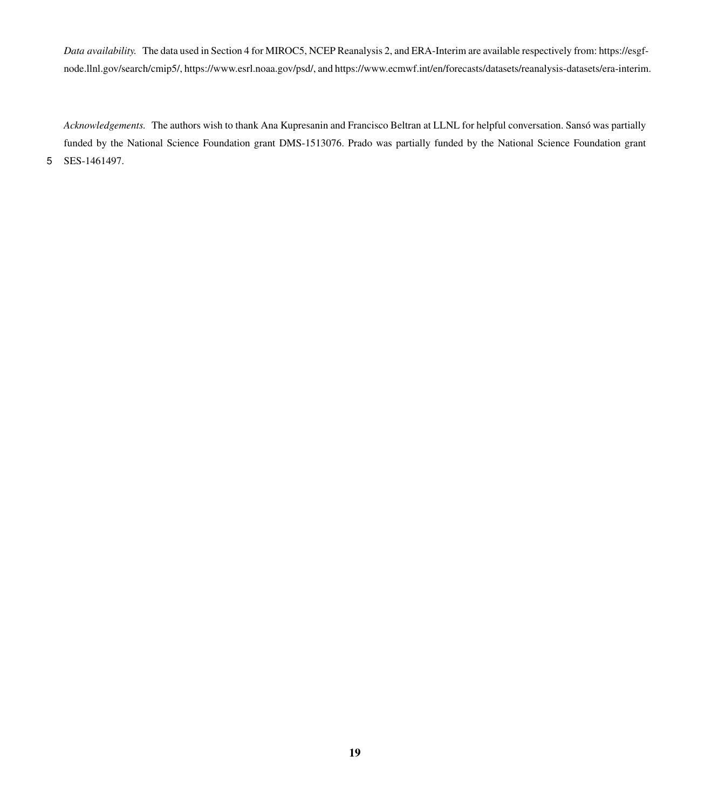*Data availability.* The data used in Section 4 for MIROC5, NCEP Reanalysis 2, and ERA-Interim are available respectively from: https://esgfnode.llnl.gov/search/cmip5/, https://www.esrl.noaa.gov/psd/, and https://www.ecmwf.int/en/forecasts/datasets/reanalysis-datasets/era-interim.

*Acknowledgements.* The authors wish to thank Ana Kupresanin and Francisco Beltran at LLNL for helpful conversation. Sansó was partially funded by the National Science Foundation grant DMS-1513076. Prado was partially funded by the National Science Foundation grant 5 SES-1461497.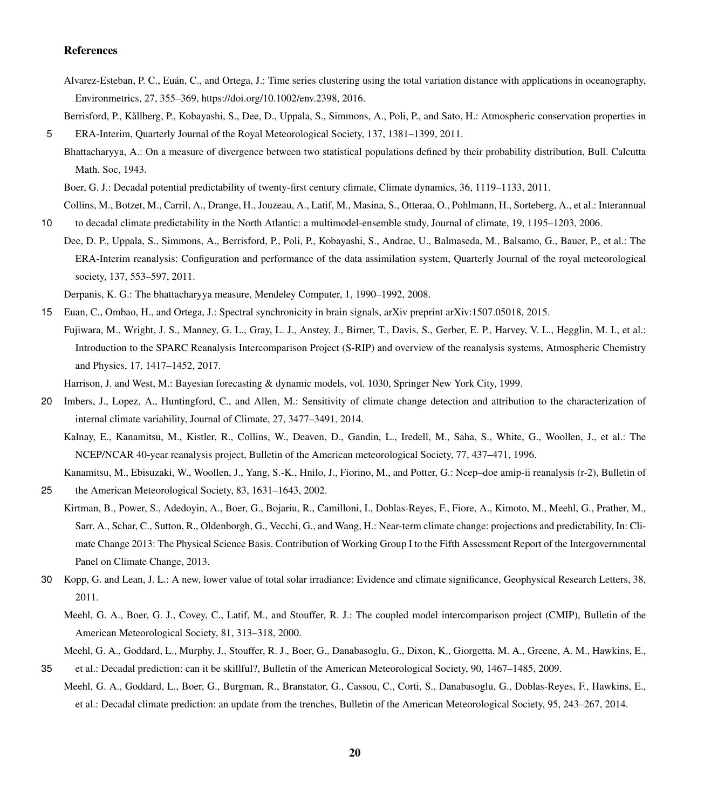#### References

<span id="page-19-12"></span>Alvarez-Esteban, P. C., Euán, C., and Ortega, J.: Time series clustering using the total variation distance with applications in oceanography, Environmetrics, 27, 355–369, https://doi.org[/10.1002/env.2398,](https://doi.org/10.1002/env.2398) 2016.

<span id="page-19-6"></span>Berrisford, P., Kållberg, P., Kobayashi, S., Dee, D., Uppala, S., Simmons, A., Poli, P., and Sato, H.: Atmospheric conservation properties in 5 ERA-Interim, Quarterly Journal of the Royal Meteorological Society, 137, 1381–1399, 2011.

Bhattacharyya, A.: On a measure of divergence between two statistical populations defined by their probability distribution, Bull. Calcutta Math. Soc, 1943.

Boer, G. J.: Decadal potential predictability of twenty-first century climate, Climate dynamics, 36, 1119–1133, 2011.

Collins, M., Botzet, M., Carril, A., Drange, H., Jouzeau, A., Latif, M., Masina, S., Otteraa, O., Pohlmann, H., Sorteberg, A., et al.: Interannual 10 to decadal climate predictability in the North Atlantic: a multimodel-ensemble study, Journal of climate, 19, 1195–1203, 2006.

<span id="page-19-7"></span>Dee, D. P., Uppala, S., Simmons, A., Berrisford, P., Poli, P., Kobayashi, S., Andrae, U., Balmaseda, M., Balsamo, G., Bauer, P., et al.: The ERA-Interim reanalysis: Configuration and performance of the data assimilation system, Quarterly Journal of the royal meteorological society, 137, 553–597, 2011.

Derpanis, K. G.: The bhattacharyya measure, Mendeley Computer, 1, 1990–1992, 2008.

<span id="page-19-11"></span><span id="page-19-10"></span><span id="page-19-8"></span>15 Euan, C., Ombao, H., and Ortega, J.: Spectral synchronicity in brain signals, arXiv preprint arXiv:1507.05018, 2015. Fujiwara, M., Wright, J. S., Manney, G. L., Gray, L. J., Anstey, J., Birner, T., Davis, S., Gerber, E. P., Harvey, V. L., Hegglin, M. I., et al.: Introduction to the SPARC Reanalysis Intercomparison Project (S-RIP) and overview of the reanalysis systems, Atmospheric Chemistry and Physics, 17, 1417–1452, 2017.

Harrison, J. and West, M.: Bayesian forecasting & dynamic models, vol. 1030, Springer New York City, 1999.

- <span id="page-19-9"></span><span id="page-19-4"></span><span id="page-19-0"></span>20 Imbers, J., Lopez, A., Huntingford, C., and Allen, M.: Sensitivity of climate change detection and attribution to the characterization of internal climate variability, Journal of Climate, 27, 3477–3491, 2014.
	- Kalnay, E., Kanamitsu, M., Kistler, R., Collins, W., Deaven, D., Gandin, L., Iredell, M., Saha, S., White, G., Woollen, J., et al.: The NCEP/NCAR 40-year reanalysis project, Bulletin of the American meteorological Society, 77, 437–471, 1996.

<span id="page-19-5"></span>Kanamitsu, M., Ebisuzaki, W., Woollen, J., Yang, S.-K., Hnilo, J., Fiorino, M., and Potter, G.: Ncep–doe amip-ii reanalysis (r-2), Bulletin of

<span id="page-19-1"></span>25 the American Meteorological Society, 83, 1631–1643, 2002.

- Kirtman, B., Power, S., Adedoyin, A., Boer, G., Bojariu, R., Camilloni, I., Doblas-Reyes, F., Fiore, A., Kimoto, M., Meehl, G., Prather, M., Sarr, A., Schar, C., Sutton, R., Oldenborgh, G., Vecchi, G., and Wang, H.: Near-term climate change: projections and predictability, In: Climate Change 2013: The Physical Science Basis. Contribution of Working Group I to the Fifth Assessment Report of the Intergovernmental Panel on Climate Change, 2013.
- <span id="page-19-3"></span>30 Kopp, G. and Lean, J. L.: A new, lower value of total solar irradiance: Evidence and climate significance, Geophysical Research Letters, 38, 2011.
	- Meehl, G. A., Boer, G. J., Covey, C., Latif, M., and Stouffer, R. J.: The coupled model intercomparison project (CMIP), Bulletin of the American Meteorological Society, 81, 313–318, 2000.
- <span id="page-19-2"></span>Meehl, G. A., Goddard, L., Murphy, J., Stouffer, R. J., Boer, G., Danabasoglu, G., Dixon, K., Giorgetta, M. A., Greene, A. M., Hawkins, E., 35 et al.: Decadal prediction: can it be skillful?, Bulletin of the American Meteorological Society, 90, 1467–1485, 2009.
- Meehl, G. A., Goddard, L., Boer, G., Burgman, R., Branstator, G., Cassou, C., Corti, S., Danabasoglu, G., Doblas-Reyes, F., Hawkins, E., et al.: Decadal climate prediction: an update from the trenches, Bulletin of the American Meteorological Society, 95, 243–267, 2014.